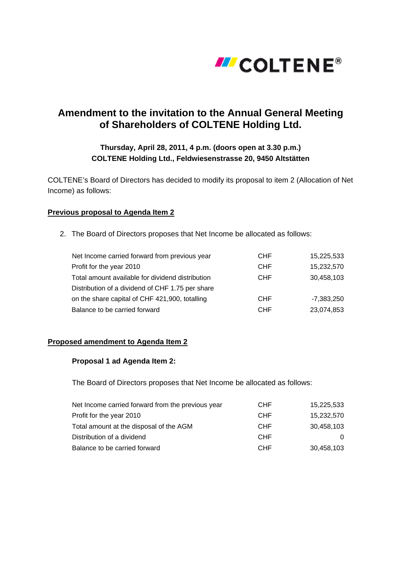

# **Amendment to the invitation to the Annual General Meeting of Shareholders of COLTENE Holding Ltd.**

## **Thursday, April 28, 2011, 4 p.m. (doors open at 3.30 p.m.) COLTENE Holding Ltd., Feldwiesenstrasse 20, 9450 Altstätten**

COLTENE's Board of Directors has decided to modify its proposal to item 2 (Allocation of Net Income) as follows:

#### **Previous proposal to Agenda Item 2**

2. The Board of Directors proposes that Net Income be allocated as follows:

| Net Income carried forward from previous year    | <b>CHF</b> | 15,225,533 |
|--------------------------------------------------|------------|------------|
| Profit for the year 2010                         | <b>CHF</b> | 15,232,570 |
| Total amount available for dividend distribution | <b>CHF</b> | 30,458,103 |
| Distribution of a dividend of CHF 1.75 per share |            |            |
| on the share capital of CHF 421,900, totalling   | <b>CHF</b> | -7,383,250 |
| Balance to be carried forward                    | <b>CHF</b> | 23,074,853 |

#### **Proposed amendment to Agenda Item 2**

#### **Proposal 1 ad Agenda Item 2:**

The Board of Directors proposes that Net Income be allocated as follows:

| Net Income carried forward from the previous year | CHF        | 15,225,533 |
|---------------------------------------------------|------------|------------|
| Profit for the year 2010                          | CHF        | 15,232,570 |
| Total amount at the disposal of the AGM           | <b>CHF</b> | 30,458,103 |
| Distribution of a dividend                        | <b>CHF</b> | $\Omega$   |
| Balance to be carried forward                     | <b>CHF</b> | 30,458,103 |